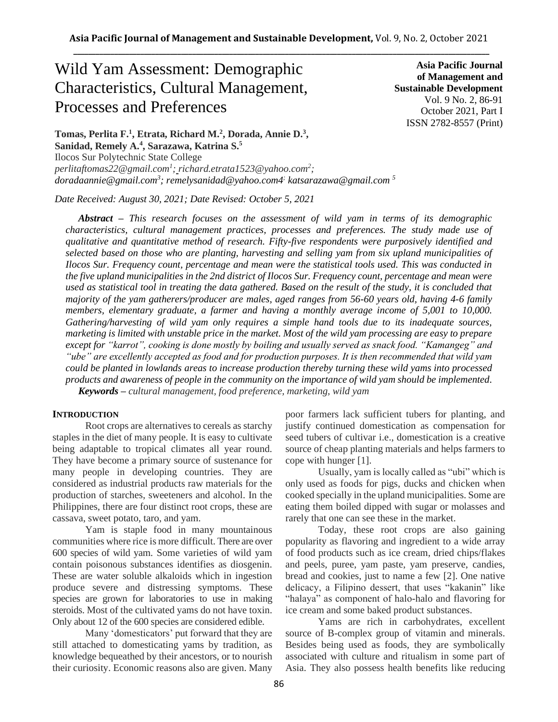# Wild Yam Assessment: Demographic Characteristics, Cultural Management, Processes and Preferences

**Asia Pacific Journal of Management and Sustainable Development**  Vol. 9 No. 2, 86-91 October 2021, Part I ISSN 2782-8557 (Print)

**Tomas, Perlita F.<sup>1</sup> , Etrata, Richard M.<sup>2</sup> , Dorada, Annie D.<sup>3</sup> , Sanidad, Remely A.<sup>4</sup> , Sarazawa, Katrina S.<sup>5</sup>** Ilocos Sur Polytechnic State College *[perlitaftomas22@gmail.com](mailto:perlitaftomas22@gmail.com)<sup>1</sup> ; richard.etrata1523@yahoo.com<sup>2</sup> ; doradaannie@gmail.com<sup>3</sup> ; remelysanidad@yahoo.com4; katsarazawa@gmail.com 5*

*Date Received: August 30, 2021; Date Revised: October 5, 2021*

*Abstract – This research focuses on the assessment of wild yam in terms of its demographic characteristics, cultural management practices, processes and preferences. The study made use of qualitative and quantitative method of research. Fifty-five respondents were purposively identified and selected based on those who are planting, harvesting and selling yam from six upland municipalities of Ilocos Sur. Frequency count, percentage and mean were the statistical tools used. This was conducted in the five upland municipalities in the 2nd district of Ilocos Sur. Frequency count, percentage and mean were used as statistical tool in treating the data gathered. Based on the result of the study, it is concluded that majority of the yam gatherers/producer are males, aged ranges from 56-60 years old, having 4-6 family members, elementary graduate, a farmer and having a monthly average income of 5,001 to 10,000. Gathering/harvesting of wild yam only requires a simple hand tools due to its inadequate sources, marketing is limited with unstable price in the market. Most of the wild yam processing are easy to prepare except for "karrot", cooking is done mostly by boiling and usually served as snack food. "Kamangeg" and "ube" are excellently accepted as food and for production purposes. It is then recommended that wild yam could be planted in lowlands areas to increase production thereby turning these wild yams into processed products and awareness of people in the community on the importance of wild yam should be implemented. Keywords – cultural management, food preference, marketing, wild yam*

#### **INTRODUCTION**

Root crops are alternatives to cereals as starchy staples in the diet of many people. It is easy to cultivate being adaptable to tropical climates all year round. They have become a primary source of sustenance for many people in developing countries. They are considered as industrial products raw materials for the production of starches, sweeteners and alcohol. In the Philippines, there are four distinct root crops, these are cassava, sweet potato, taro, and yam.

Yam is staple food in many mountainous communities where rice is more difficult. There are over 600 species of wild yam. Some varieties of wild yam contain poisonous substances identifies as diosgenin. These are water soluble alkaloids which in ingestion produce severe and distressing symptoms. These species are grown for laboratories to use in making steroids. Most of the cultivated yams do not have toxin. Only about 12 of the 600 species are considered edible.

Many 'domesticators' put forward that they are still attached to domesticating yams by tradition, as knowledge bequeathed by their ancestors, or to nourish their curiosity. Economic reasons also are given. Many poor farmers lack sufficient tubers for planting, and justify continued domestication as compensation for seed tubers of cultivar i.e., domestication is a creative source of cheap planting materials and helps farmers to cope with hunger [1].

Usually, yam is locally called as "ubi" which is only used as foods for pigs, ducks and chicken when cooked specially in the upland municipalities. Some are eating them boiled dipped with sugar or molasses and rarely that one can see these in the market.

Today, these root crops are also gaining popularity as flavoring and ingredient to a wide array of food products such as ice cream, dried chips/flakes and peels, puree, yam paste, yam preserve, candies, bread and cookies, just to name a few [2]. One native delicacy, a Filipino dessert, that uses "kakanin" like "halaya" as component of halo-halo and flavoring for ice cream and some baked product substances.

Yams are rich in carbohydrates, excellent source of B-complex group of vitamin and minerals. Besides being used as foods, they are symbolically associated with culture and ritualism in some part of Asia. They also possess health benefits like reducing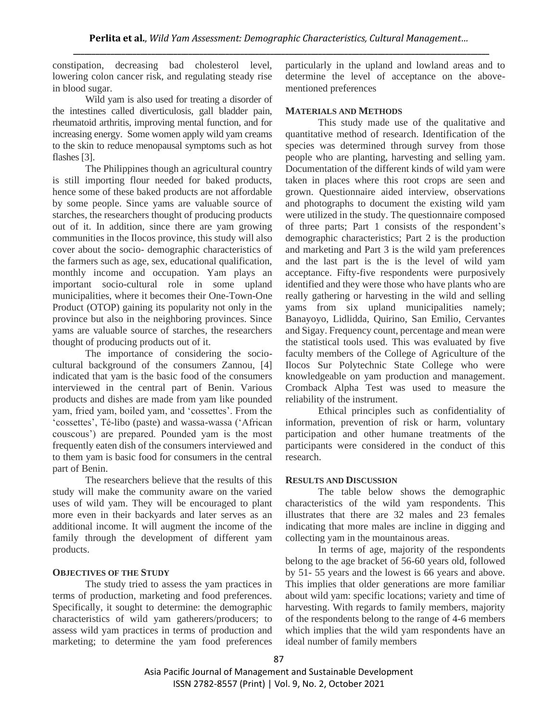constipation, decreasing bad cholesterol level, lowering colon cancer risk, and regulating steady rise in blood sugar.

Wild yam is also used for treating a disorder of the intestines called diverticulosis, gall bladder pain, rheumatoid arthritis, improving mental function, and for increasing energy. Some women apply wild yam creams to the skin to reduce menopausal symptoms such as hot flashes [3].

The Philippines though an agricultural country is still importing flour needed for baked products, hence some of these baked products are not affordable by some people. Since yams are valuable source of starches, the researchers thought of producing products out of it. In addition, since there are yam growing communities in the Ilocos province, this study will also cover about the socio- demographic characteristics of the farmers such as age, sex, educational qualification, monthly income and occupation. Yam plays an important socio-cultural role in some upland municipalities, where it becomes their One-Town-One Product (OTOP) gaining its popularity not only in the province but also in the neighboring provinces. Since yams are valuable source of starches, the researchers thought of producing products out of it.

The importance of considering the sociocultural background of the consumers Zannou, [4] indicated that yam is the basic food of the consumers interviewed in the central part of Benin. Various products and dishes are made from yam like pounded yam, fried yam, boiled yam, and 'cossettes'. From the 'cossettes', Té-libo (paste) and wassa-wassa ('African couscous') are prepared. Pounded yam is the most frequently eaten dish of the consumers interviewed and to them yam is basic food for consumers in the central part of Benin.

The researchers believe that the results of this study will make the community aware on the varied uses of wild yam. They will be encouraged to plant more even in their backyards and later serves as an additional income. It will augment the income of the family through the development of different yam products.

#### **OBJECTIVES OF THE STUDY**

The study tried to assess the yam practices in terms of production, marketing and food preferences. Specifically, it sought to determine: the demographic characteristics of wild yam gatherers/producers; to assess wild yam practices in terms of production and marketing; to determine the yam food preferences

particularly in the upland and lowland areas and to determine the level of acceptance on the abovementioned preferences

#### **MATERIALS AND METHODS**

This study made use of the qualitative and quantitative method of research. Identification of the species was determined through survey from those people who are planting, harvesting and selling yam. Documentation of the different kinds of wild yam were taken in places where this root crops are seen and grown. Questionnaire aided interview, observations and photographs to document the existing wild yam were utilized in the study. The questionnaire composed of three parts; Part 1 consists of the respondent's demographic characteristics; Part 2 is the production and marketing and Part 3 is the wild yam preferences and the last part is the is the level of wild yam acceptance. Fifty-five respondents were purposively identified and they were those who have plants who are really gathering or harvesting in the wild and selling yams from six upland municipalities namely; Banayoyo, Lidlidda, Quirino, San Emilio, Cervantes and Sigay. Frequency count, percentage and mean were the statistical tools used. This was evaluated by five faculty members of the College of Agriculture of the Ilocos Sur Polytechnic State College who were knowledgeable on yam production and management. Cromback Alpha Test was used to measure the reliability of the instrument.

Ethical principles such as confidentiality of information, prevention of risk or harm, voluntary participation and other humane treatments of the participants were considered in the conduct of this research.

#### **RESULTS AND DISCUSSION**

The table below shows the demographic characteristics of the wild yam respondents. This illustrates that there are 32 males and 23 females indicating that more males are incline in digging and collecting yam in the mountainous areas.

In terms of age, majority of the respondents belong to the age bracket of 56-60 years old, followed by 51- 55 years and the lowest is 66 years and above. This implies that older generations are more familiar about wild yam: specific locations; variety and time of harvesting. With regards to family members, majority of the respondents belong to the range of 4-6 members which implies that the wild yam respondents have an ideal number of family members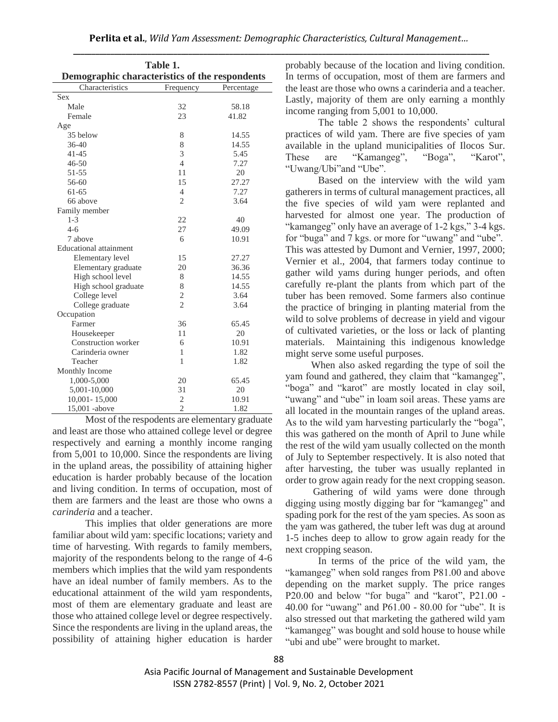|                                                | Table 1.       |            | probably because of the location and living condit   |  |  |  |  |  |  |
|------------------------------------------------|----------------|------------|------------------------------------------------------|--|--|--|--|--|--|
| Demographic characteristics of the respondents |                |            | In terms of occupation, most of them are farmers     |  |  |  |  |  |  |
| Characteristics                                | Frequency      | Percentage | the least are those who owns a carinderia and a teac |  |  |  |  |  |  |
| <b>Sex</b>                                     |                |            | Lastly, majority of them are only earning a mon      |  |  |  |  |  |  |
| Male                                           | 32             | 58.18      |                                                      |  |  |  |  |  |  |
| Female                                         | 23             | 41.82      | income ranging from 5,001 to 10,000.                 |  |  |  |  |  |  |
| Age                                            |                |            | The table 2 shows the respondents' cult              |  |  |  |  |  |  |
| 35 below                                       | 8              | 14.55      | practices of wild yam. There are five species of     |  |  |  |  |  |  |
| $36 - 40$                                      | 8              | 14.55      | available in the upland municipalities of Ilocos     |  |  |  |  |  |  |
| $41 - 45$                                      | 3              | 5.45       | "Kamangeg",<br>These<br>"Boga",<br>are<br>"Kai       |  |  |  |  |  |  |
| $46 - 50$                                      | 4              | 7.27       | "Uwang/Ubi"and "Ube".                                |  |  |  |  |  |  |
| 51-55                                          | 11             | 20         |                                                      |  |  |  |  |  |  |
| 56-60                                          | 15             | 27.27      | Based on the interview with the wild                 |  |  |  |  |  |  |
| $61 - 65$                                      | $\overline{4}$ | 7.27       | gatherers in terms of cultural management practices  |  |  |  |  |  |  |
| 66 above                                       | $\overline{2}$ | 3.64       | the five species of wild yam were replanted          |  |  |  |  |  |  |
| Family member                                  |                |            | harvested for almost one year. The production        |  |  |  |  |  |  |
| $1-3$                                          | 22             | 40         |                                                      |  |  |  |  |  |  |
| $4 - 6$                                        | 27             | 49.09      | "kamangeg" only have an average of 1-2 kgs," 3-4     |  |  |  |  |  |  |
| 7 above                                        | 6              | 10.91      | for "buga" and 7 kgs. or more for "uwang" and "ul    |  |  |  |  |  |  |
| <b>Educational</b> attainment                  |                |            | This was attested by Dumont and Vernier, 1997, 20    |  |  |  |  |  |  |
| Elementary level                               | 15             | 27.27      | Vernier et al., 2004, that farmers today continu     |  |  |  |  |  |  |
| Elementary graduate                            | 20             | 36.36      | gather wild yams during hunger periods, and o        |  |  |  |  |  |  |
| High school level                              | 8              | 14.55      |                                                      |  |  |  |  |  |  |
| High school graduate                           | 8              | 14.55      | carefully re-plant the plants from which part of     |  |  |  |  |  |  |
| College level                                  | $\overline{c}$ | 3.64       | tuber has been removed. Some farmers also conti      |  |  |  |  |  |  |
| College graduate                               | $\overline{2}$ | 3.64       | the practice of bringing in planting material from   |  |  |  |  |  |  |
| Occupation                                     |                |            | wild to solve problems of decrease in yield and vig  |  |  |  |  |  |  |
| Farmer                                         | 36             | 65.45      | of cultivated varieties, or the loss or lack of plan |  |  |  |  |  |  |
| Housekeeper                                    | 11             | 20         |                                                      |  |  |  |  |  |  |
| Construction worker                            | 6              | 10.91      | Maintaining this indigenous knowle<br>materials.     |  |  |  |  |  |  |
| Carinderia owner                               | $\mathbf{1}$   | 1.82       | might serve some useful purposes.                    |  |  |  |  |  |  |
| Teacher                                        | 1              | 1.82       | When also asked regarding the type of soil           |  |  |  |  |  |  |
| Monthly Income                                 |                |            | yam found and gathered, they claim that "kamang      |  |  |  |  |  |  |
| 1,000-5,000                                    | 20             | 65.45      | "boga" and "karot" are mostly located in clay        |  |  |  |  |  |  |
| 5,001-10,000                                   | 31             | 20         |                                                      |  |  |  |  |  |  |
| $10,001 - 15,000$                              | $\mathfrak{2}$ | 10.91      | "uwang" and "ube" in loam soil areas. These yams     |  |  |  |  |  |  |
| 15,001 -above                                  | $\mathfrak{2}$ | 1.82       | all located in the mountain ranges of the upland an  |  |  |  |  |  |  |

Most of the respodents are elementary graduate and least are those who attained college level or degree respectively and earning a monthly income ranging from 5,001 to 10,000. Since the respondents are living in the upland areas, the possibility of attaining higher education is harder probably because of the location and living condition. In terms of occupation, most of them are farmers and the least are those who owns a *carinderia* and a teacher.

This implies that older generations are more familiar about wild yam: specific locations; variety and time of harvesting. With regards to family members, majority of the respondents belong to the range of 4-6 members which implies that the wild yam respondents have an ideal number of family members. As to the educational attainment of the wild yam respondents, most of them are elementary graduate and least are those who attained college level or degree respectively. Since the respondents are living in the upland areas, the possibility of attaining higher education is harder probably because of the location and living condition. In terms of occupation, most of them are farmers and the least are those who owns a carinderia and a teacher. Lastly, majority of them are only earning a monthly income ranging from 5,001 to 10,000.

The table 2 shows the respondents' cultural practices of wild yam. There are five species of yam available in the upland municipalities of Ilocos Sur. These are "Kamangeg", "Boga", "Karot", "Uwang/Ubi"and "Ube".

Based on the interview with the wild yam gatherers in terms of cultural management practices, all the five species of wild yam were replanted and harvested for almost one year. The production of "kamangeg" only have an average of 1-2 kgs," 3-4 kgs. for "buga" and 7 kgs. or more for "uwang" and "ube". This was attested by Dumont and Vernier, 1997, 2000; Vernier et al., 2004, that farmers today continue to gather wild yams during hunger periods, and often carefully re-plant the plants from which part of the tuber has been removed. Some farmers also continue the practice of bringing in planting material from the wild to solve problems of decrease in yield and vigour of cultivated varieties, or the loss or lack of planting materials. Maintaining this indigenous knowledge might serve some useful purposes.

When also asked regarding the type of soil the yam found and gathered, they claim that "kamangeg", "boga" and "karot" are mostly located in clay soil, "uwang" and "ube" in loam soil areas. These yams are all located in the mountain ranges of the upland areas. As to the wild yam harvesting particularly the "boga", this was gathered on the month of April to June while the rest of the wild yam usually collected on the month of July to September respectively. It is also noted that after harvesting, the tuber was usually replanted in order to grow again ready for the next cropping season.

 Gathering of wild yams were done through digging using mostly digging bar for "kamangeg" and spading pork for the rest of the yam species. As soon as the yam was gathered, the tuber left was dug at around 1-5 inches deep to allow to grow again ready for the next cropping season.

In terms of the price of the wild yam, the "kamangeg" when sold ranges from P81.00 and above depending on the market supply. The price ranges P20.00 and below "for buga" and "karot", P21.00 - 40.00 for "uwang" and P61.00 - 80.00 for "ube". It is also stressed out that marketing the gathered wild yam "kamangeg" was bought and sold house to house while "ubi and ube" were brought to market.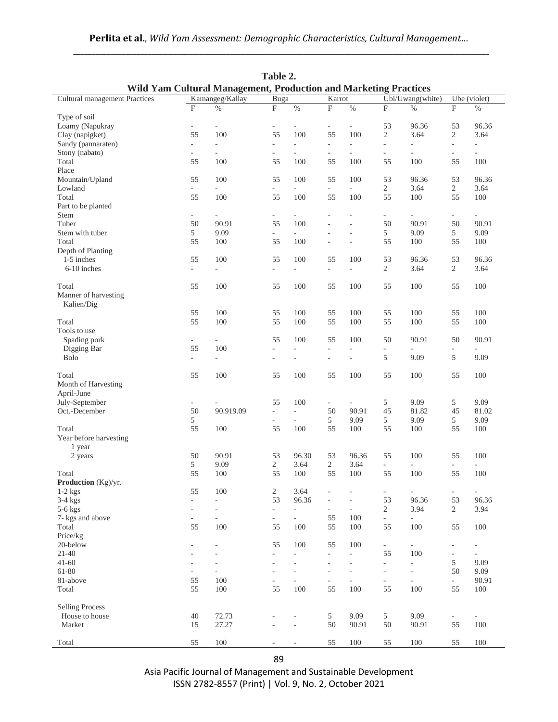| Table 2.<br>Wild Yam Cultural Management, Production and Marketing Practices |                          |                             |                          |                          |                          |                             |                           |                          |                                |                          |  |
|------------------------------------------------------------------------------|--------------------------|-----------------------------|--------------------------|--------------------------|--------------------------|-----------------------------|---------------------------|--------------------------|--------------------------------|--------------------------|--|
| <b>Cultural management Practices</b>                                         | Kamangeg/Kallay          |                             | Buga                     |                          |                          | Karrot                      |                           | Ubi/Uwang(white)         |                                | Ube (violet)             |  |
|                                                                              | F                        | $\%$                        | $\mathbf{F}$             | $\%$                     | $\mathbf{F}$             | $\%$                        | $\boldsymbol{\mathrm{F}}$ | $\%$                     | $\rm F$                        | $\%$                     |  |
| Type of soil                                                                 |                          |                             |                          |                          |                          |                             |                           |                          |                                |                          |  |
| Loamy (Napukray                                                              | $\overline{\phantom{a}}$ | $\blacksquare$              | $\frac{1}{2}$            | ÷,                       | $\overline{\phantom{a}}$ | $\blacksquare$              | 53                        | 96.36                    | 53                             | 96.36                    |  |
| Clay (napigket)                                                              | 55                       | 100                         | 55                       | 100                      | 55                       | 100                         | $\overline{2}$            | 3.64                     | $\overline{c}$                 | 3.64                     |  |
| Sandy (pannaraten)                                                           | ÷.                       | ÷.                          | $\bar{a}$                | ÷,                       | $\bar{a}$                | $\overline{a}$              | $\mathcal{L}$             | $\bar{a}$                | ÷,                             | $\bar{a}$                |  |
| Stony (nabato)                                                               | $\overline{\phantom{0}}$ | $\overline{\phantom{a}}$    | $\overline{\phantom{a}}$ | $\sim$                   | $\overline{\phantom{a}}$ | $\overline{\phantom{a}}$    | $\equiv$                  | $\bar{a}$                | $\overline{\phantom{a}}$       | $\overline{\phantom{a}}$ |  |
| Total                                                                        | 55                       | 100                         | 55                       | 100                      | 55                       | 100                         | 55                        | 100                      | 55                             | 100                      |  |
| Place                                                                        |                          |                             |                          |                          |                          |                             |                           |                          |                                |                          |  |
| Mountain/Upland                                                              | 55                       | 100                         | 55                       | 100                      | 55                       | 100                         | 53                        | 96.36                    | 53                             | 96.36                    |  |
| Lowland                                                                      | $\overline{\phantom{a}}$ | $\mathcal{L}_{\mathcal{A}}$ |                          | $\equiv$                 | $\overline{\phantom{a}}$ | $\mathcal{L}^{\mathcal{L}}$ | $\overline{2}$            | 3.64                     | $\mathbf{2}$                   | 3.64                     |  |
|                                                                              |                          |                             | $\overline{\phantom{a}}$ |                          |                          |                             |                           |                          |                                |                          |  |
| Total                                                                        | 55                       | 100                         | 55                       | 100                      | 55                       | 100                         | 55                        | 100                      | 55                             | 100                      |  |
| Part to be planted                                                           |                          |                             |                          |                          |                          |                             |                           |                          |                                |                          |  |
| Stem                                                                         | ÷.                       | $\bar{a}$                   | $\frac{1}{2}$            | $\bar{a}$                | $\bar{a}$                | ÷,                          | ÷.                        | $\overline{a}$           | $\overline{\phantom{a}}$       | $\bar{a}$                |  |
| Tuber                                                                        | 50                       | 90.91                       | 55                       | 100                      | ÷,                       | ÷,                          | 50                        | 90.91                    | 50                             | 90.91                    |  |
| Stem with tuber                                                              | 5                        | 9.09                        | $\overline{\phantom{a}}$ |                          | L.                       | ä,                          | 5                         | 9.09                     | 5                              | 9.09                     |  |
| Total                                                                        | 55                       | 100                         | 55                       | 100                      | L,                       | ÷,                          | 55                        | 100                      | 55                             | 100                      |  |
| Depth of Planting                                                            |                          |                             |                          |                          |                          |                             |                           |                          |                                |                          |  |
| 1-5 inches                                                                   | 55                       | 100                         | 55                       | 100                      | 55                       | 100                         | 53                        | 96.36                    | 53                             | 96.36                    |  |
| 6-10 inches                                                                  | ÷.                       | $\overline{\phantom{a}}$    | $\frac{1}{2}$            | ä,                       | $\overline{\phantom{a}}$ | $\blacksquare$              | $\overline{2}$            | 3.64                     | $\overline{2}$                 | 3.64                     |  |
|                                                                              |                          |                             |                          |                          |                          |                             |                           |                          |                                |                          |  |
| Total                                                                        | 55                       | 100                         | 55                       | 100                      | 55                       | 100                         | 55                        | 100                      | 55                             | 100                      |  |
| Manner of harvesting                                                         |                          |                             |                          |                          |                          |                             |                           |                          |                                |                          |  |
| Kalien/Dig                                                                   |                          |                             |                          |                          |                          |                             |                           |                          |                                |                          |  |
|                                                                              | 55                       | 100                         | 55                       | 100                      | 55                       | 100                         | 55                        | 100                      | 55                             | 100                      |  |
| Total                                                                        | 55                       | 100                         | 55                       | 100                      | 55                       | 100                         | 55                        | 100                      | 55                             | 100                      |  |
| Tools to use                                                                 |                          |                             |                          |                          |                          |                             |                           |                          |                                |                          |  |
| Spading pork                                                                 | $\overline{\phantom{0}}$ | $\overline{\phantom{a}}$    | 55                       | 100                      | 55                       | 100                         | 50                        | 90.91                    | 50                             | 90.91                    |  |
| Digging Bar                                                                  | 55                       | 100                         | ä,                       | $\bar{a}$                | $\bar{a}$                | $\overline{\phantom{a}}$    | $\overline{\phantom{a}}$  |                          |                                |                          |  |
| <b>Bolo</b>                                                                  | $\overline{\phantom{a}}$ | $\overline{\phantom{a}}$    | ä,                       | $\sim$                   | $\overline{\phantom{a}}$ | $\blacksquare$              | 5                         | 9.09                     | 5                              | 9.09                     |  |
|                                                                              |                          |                             |                          |                          |                          |                             |                           |                          |                                |                          |  |
| Total                                                                        | 55                       | 100                         | 55                       | 100                      | 55                       | 100                         | 55                        | 100                      | 55                             | 100                      |  |
| Month of Harvesting                                                          |                          |                             |                          |                          |                          |                             |                           |                          |                                |                          |  |
| April-June                                                                   |                          |                             |                          |                          |                          |                             |                           |                          |                                |                          |  |
| July-September                                                               | $\overline{\phantom{a}}$ |                             | 55                       | 100                      | $\overline{\phantom{a}}$ | $\blacksquare$              | $5\,$                     | 9.09                     | 5                              | 9.09                     |  |
| Oct.-December                                                                | 50                       | 90.919.09                   | $\overline{\phantom{a}}$ | $\overline{\phantom{a}}$ | 50                       | 90.91                       | 45                        | 81.82                    | 45                             | 81.02                    |  |
|                                                                              | 5                        |                             | $\bar{a}$                | ÷,                       | 5                        | 9.09                        | 5                         | 9.09                     | 5                              | 9.09                     |  |
| Total                                                                        | 55                       | 100                         | 55                       | 100                      | 55                       | 100                         | 55                        | 100                      | 55                             | 100                      |  |
|                                                                              |                          |                             |                          |                          |                          |                             |                           |                          |                                |                          |  |
| Year before harvesting                                                       |                          |                             |                          |                          |                          |                             |                           |                          |                                |                          |  |
| 1 year                                                                       |                          |                             |                          |                          |                          |                             |                           |                          |                                |                          |  |
| 2 years                                                                      | 50                       | 90.91                       | 53                       | 96.30                    | 53                       | 96.36                       | 55                        | 100                      | 55                             | 100                      |  |
|                                                                              | 5                        | 9.09                        | 2                        | 3.64                     | $\overline{c}$           | 3.64                        | $\omega$                  | $\overline{\phantom{a}}$ | $\overline{\phantom{a}}$       | ÷,                       |  |
| Total                                                                        | 55                       | 100                         | 55                       | 100                      | 55                       | 100                         | 55                        | 100                      | 55                             | 100                      |  |
| Production (Kg)/yr.                                                          |                          |                             |                          |                          |                          |                             |                           |                          |                                |                          |  |
| $1-2$ kgs                                                                    | 55                       | 100                         | 2                        | 3.64                     | $\overline{a}$           |                             | $\overline{\phantom{a}}$  | $\overline{\phantom{a}}$ | -                              | $\overline{\phantom{a}}$ |  |
| $3-4$ kgs                                                                    | ÷.                       | L.                          | 53                       | 96.36                    | $\overline{\phantom{a}}$ | $\overline{\phantom{a}}$    | 53                        | 96.36                    | 53                             | 96.36                    |  |
| $5-6$ kgs                                                                    | ÷                        | $\overline{\phantom{a}}$    | $\blacksquare$           | $\overline{\phantom{a}}$ | $\overline{\phantom{a}}$ | $\overline{\phantom{a}}$    | 2                         | 3.94                     | $\overline{2}$                 | 3.94                     |  |
| 7- kgs and above                                                             | $\overline{\phantom{0}}$ | $\overline{\phantom{a}}$    | $\overline{\phantom{a}}$ | $\overline{\phantom{a}}$ | 55                       | 100                         | $\sim$                    | $\overline{\phantom{a}}$ |                                |                          |  |
| Total                                                                        | 55                       | 100                         | 55                       | 100                      | 55                       | 100                         | 55                        | 100                      | 55                             | 100                      |  |
| Price/kg                                                                     |                          |                             |                          |                          |                          |                             |                           |                          |                                |                          |  |
| 20-below                                                                     |                          |                             | 55                       | 100                      | 55                       | 100                         | $\overline{\phantom{a}}$  | $\overline{\phantom{a}}$ | $\overline{\phantom{a}}$       | $\overline{\phantom{a}}$ |  |
| $21 - 40$                                                                    |                          | L                           | $\overline{\phantom{a}}$ |                          | $\overline{\phantom{a}}$ | $\overline{\phantom{a}}$    | 55                        | 100                      | $\blacksquare$                 | $\overline{\phantom{a}}$ |  |
| $41 - 60$                                                                    | ٠                        | ÷                           | $\bar{a}$                | $\sim$                   | $\overline{\phantom{a}}$ | $\overline{a}$              | $\equiv$                  | $\equiv$                 | 5                              | 9.09                     |  |
| 61-80                                                                        |                          | ÷.                          | $\overline{\phantom{m}}$ |                          | $\overline{\phantom{a}}$ |                             | $\overline{\phantom{a}}$  | $\bar{a}$                | 50                             | 9.09                     |  |
| 81-above                                                                     | 55                       | 100                         | ÷,                       | ÷,                       | $\overline{\phantom{a}}$ | $\overline{\phantom{a}}$    | $\overline{\phantom{a}}$  | $\overline{\phantom{a}}$ | $\mathcal{L}_{\mathcal{A}}$    | 90.91                    |  |
| Total                                                                        | 55                       | 100                         | 55                       | 100                      | 55                       | 100                         | 55                        | 100                      | 55                             | $100\,$                  |  |
|                                                                              |                          |                             |                          |                          |                          |                             |                           |                          |                                |                          |  |
| <b>Selling Process</b>                                                       |                          |                             |                          |                          |                          |                             |                           |                          |                                |                          |  |
| House to house                                                               | 40                       | 72.73                       | ÷,                       | $\sim$                   | 5                        | 9.09                        | 5                         | 9.09                     |                                | $\overline{\phantom{a}}$ |  |
| Market                                                                       | 15                       | 27.27                       |                          | $\bar{a}$                | 50                       | 90.91                       | 50                        | 90.91                    | $\overline{\phantom{a}}$<br>55 | $100\,$                  |  |
|                                                                              |                          |                             |                          |                          |                          |                             |                           |                          |                                |                          |  |
| Total                                                                        | 55                       | 100                         |                          | $\overline{\phantom{a}}$ | 55                       | $100\,$                     | 55                        | 100                      | 55                             | 100                      |  |
|                                                                              |                          |                             |                          |                          |                          |                             |                           |                          |                                |                          |  |

| Perlita et al., Wild Yam Assessment: Demographic Characteristics, Cultural Management |  |
|---------------------------------------------------------------------------------------|--|
|                                                                                       |  |

89

Asia Pacific Journal of Management and Sustainable Development ISSN 2782-8557 (Print) | Vol. 9, No. 2, October 2021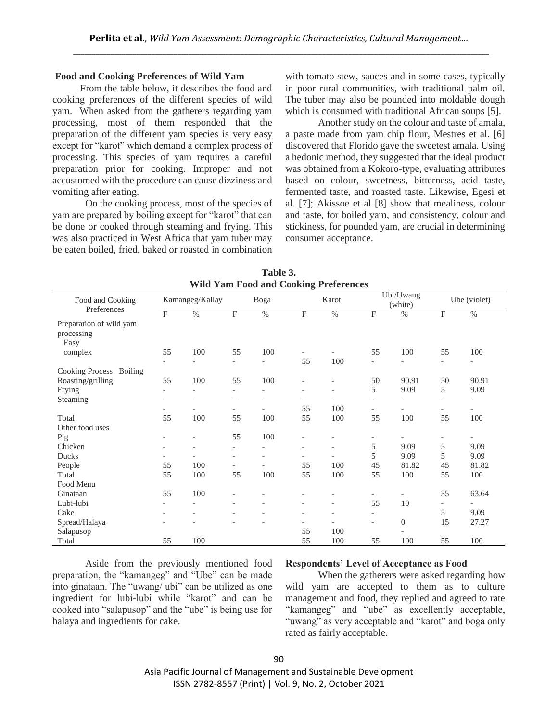#### **Food and Cooking Preferences of Wild Yam**

 From the table below, it describes the food and cooking preferences of the different species of wild yam. When asked from the gatherers regarding yam processing, most of them responded that the preparation of the different yam species is very easy except for "karot" which demand a complex process of processing. This species of yam requires a careful preparation prior for cooking. Improper and not accustomed with the procedure can cause dizziness and vomiting after eating.

On the cooking process, most of the species of yam are prepared by boiling except for "karot" that can be done or cooked through steaming and frying. This was also practiced in West Africa that yam tuber may be eaten boiled, fried, baked or roasted in combination

with tomato stew, sauces and in some cases, typically in poor rural communities, with traditional palm oil. The tuber may also be pounded into moldable dough which is consumed with traditional African soups [5].

Another study on the colour and taste of amala, a paste made from yam chip flour, Mestres et al. [6] discovered that Florido gave the sweetest amala. Using a hedonic method, they suggested that the ideal product was obtained from a Kokoro-type, evaluating attributes based on colour, sweetness, bitterness, acid taste, fermented taste, and roasted taste. Likewise, Egesi et al. [7]; Akissoe et al [8] show that mealiness, colour and taste, for boiled yam, and consistency, colour and stickiness, for pounded yam, are crucial in determining consumer acceptance.

| WHO YAM FOOD and COOKING PTEIEFENCES          |                          |                          |                          |                          |                              |                              |                          |                |                           |                          |
|-----------------------------------------------|--------------------------|--------------------------|--------------------------|--------------------------|------------------------------|------------------------------|--------------------------|----------------|---------------------------|--------------------------|
| Food and Cooking<br>Preferences               | Kamangeg/Kallay          |                          | Boga                     |                          | Karot                        |                              | Ubi/Uwang<br>(white)     |                | Ube (violet)              |                          |
|                                               | $\mathbf F$              | $\%$                     | F                        | $\%$                     | $\mathbf F$                  | $\%$                         | $\mathbf F$              | $\%$           | $\boldsymbol{\mathrm{F}}$ | $\%$                     |
| Preparation of wild yam<br>processing<br>Easy |                          |                          |                          |                          |                              |                              |                          |                |                           |                          |
| complex                                       | 55                       | 100                      | 55                       | 100                      | $\overline{\phantom{a}}$     |                              | 55                       | 100            | 55                        | 100                      |
|                                               |                          | $\overline{a}$           | $\overline{\phantom{0}}$ | $\overline{\phantom{0}}$ | 55                           | 100                          | $\overline{\phantom{0}}$ |                | $\overline{\phantom{0}}$  | $\overline{\phantom{a}}$ |
| Cooking Process<br>Boiling                    |                          |                          |                          |                          |                              |                              |                          |                |                           |                          |
| Roasting/grilling                             | 55                       | 100                      | 55                       | 100                      | $\overline{\phantom{a}}$     |                              | 50                       | 90.91          | 50                        | 90.91                    |
| Frying                                        | $\overline{\phantom{a}}$ | $\overline{\phantom{0}}$ | $\overline{\phantom{a}}$ | $\overline{\phantom{0}}$ | $\overline{\phantom{a}}$     | $\overline{\phantom{a}}$     | 5                        | 9.09           | 5                         | 9.09                     |
| Steaming                                      |                          |                          | $\overline{\phantom{0}}$ |                          | $\overline{\phantom{a}}$     |                              | $\overline{\phantom{a}}$ |                |                           |                          |
|                                               |                          |                          | $\overline{\phantom{0}}$ |                          | 55                           | 100                          | $\overline{\phantom{0}}$ |                | $\overline{\phantom{0}}$  | $\overline{\phantom{0}}$ |
| Total                                         | 55                       | 100                      | 55                       | 100                      | 55                           | 100                          | 55                       | 100            | 55                        | 100                      |
| Other food uses                               |                          |                          |                          |                          |                              |                              |                          |                |                           |                          |
| Pig                                           |                          |                          | 55                       | 100                      |                              |                              |                          |                |                           | $\qquad \qquad -$        |
| Chicken                                       |                          | $\overline{a}$           | $\overline{\phantom{a}}$ |                          | $\overline{\phantom{a}}$     | $\overline{\phantom{a}}$     | 5                        | 9.09           | 5                         | 9.09                     |
| Ducks                                         | $\overline{\phantom{a}}$ | $\overline{\phantom{0}}$ | $\overline{\phantom{0}}$ | $\overline{\phantom{a}}$ | $\overline{\phantom{0}}$     |                              | 5                        | 9.09           | 5                         | 9.09                     |
| People                                        | 55                       | 100                      | $\overline{\phantom{a}}$ |                          | 55                           | 100                          | 45                       | 81.82          | 45                        | 81.82                    |
| Total                                         | 55                       | 100                      | 55                       | 100                      | 55                           | 100                          | 55                       | 100            | 55                        | 100                      |
| Food Menu                                     |                          |                          |                          |                          |                              |                              |                          |                |                           |                          |
| Ginataan                                      | 55                       | 100                      |                          |                          |                              |                              |                          |                | 35                        | 63.64                    |
| Lubi-lubi                                     |                          |                          | $\overline{\phantom{0}}$ |                          | $\qquad \qquad \blacksquare$ | $\qquad \qquad \blacksquare$ | 55                       | 10             |                           |                          |
| Cake                                          |                          |                          | $\overline{\phantom{0}}$ |                          | -                            | $\overline{\phantom{a}}$     | $\overline{\phantom{a}}$ |                | 5                         | 9.09                     |
| Spread/Halaya                                 |                          |                          | $\overline{\phantom{0}}$ |                          | $\overline{\phantom{a}}$     |                              | $\overline{\phantom{a}}$ | $\overline{0}$ | 15                        | 27.27                    |
| Salapusop                                     |                          |                          |                          |                          | 55                           | 100                          |                          |                |                           |                          |
| Total                                         | 55                       | 100                      |                          |                          | 55                           | 100                          | 55                       | 100            | 55                        | 100                      |

**Table 3. Wild Yam Food and Cooking Preferences**

Aside from the previously mentioned food preparation, the "kamangeg" and "Ube" can be made into ginataan. The "uwang/ ubi" can be utilized as one ingredient for lubi-lubi while "karot" and can be cooked into "salapusop" and the "ube" is being use for halaya and ingredients for cake.

#### **Respondents' Level of Acceptance as Food**

When the gatherers were asked regarding how wild yam are accepted to them as to culture management and food, they replied and agreed to rate "kamangeg" and "ube" as excellently acceptable, "uwang" as very acceptable and "karot" and boga only rated as fairly acceptable.

Asia Pacific Journal of Management and Sustainable Development ISSN 2782-8557 (Print) | Vol. 9, No. 2, October 2021